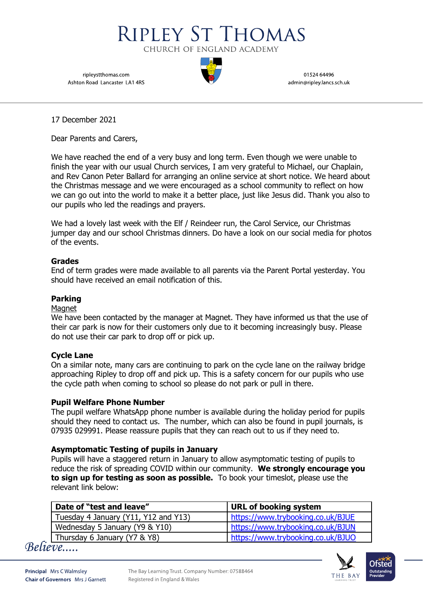

ripleystthomas.com Ashton Road Lancaster LA1 4RS

01524 64496 admin@ripley.lancs.sch.uk

17 December 2021

Dear Parents and Carers,

We have reached the end of a very busy and long term. Even though we were unable to finish the year with our usual Church services, I am very grateful to Michael, our Chaplain, and Rev Canon Peter Ballard for arranging an online service at short notice. We heard about the Christmas message and we were encouraged as a school community to reflect on how we can go out into the world to make it a better place, just like Jesus did. Thank you also to our pupils who led the readings and prayers.

We had a lovely last week with the Elf / Reindeer run, the Carol Service, our Christmas jumper day and our school Christmas dinners. Do have a look on our social media for photos of the events.

## **Grades**

End of term grades were made available to all parents via the Parent Portal yesterday. You should have received an email notification of this.

# **Parking**

## Magnet

We have been contacted by the manager at Magnet. They have informed us that the use of their car park is now for their customers only due to it becoming increasingly busy. Please do not use their car park to drop off or pick up.

## **Cycle Lane**

On a similar note, many cars are continuing to park on the cycle lane on the railway bridge approaching Ripley to drop off and pick up. This is a safety concern for our pupils who use the cycle path when coming to school so please do not park or pull in there.

## **Pupil Welfare Phone Number**

The pupil welfare WhatsApp phone number is available during the holiday period for pupils should they need to contact us. The number, which can also be found in pupil journals, is 07935 029991. Please reassure pupils that they can reach out to us if they need to.

## **Asymptomatic Testing of pupils in January**

Pupils will have a staggered return in January to allow asymptomatic testing of pupils to reduce the risk of spreading COVID within our community. **We strongly encourage you to sign up for testing as soon as possible.** To book your timeslot, please use the relevant link below:

| Date of "test and leave"             | URL of booking system             |
|--------------------------------------|-----------------------------------|
| Tuesday 4 January (Y11, Y12 and Y13) | https://www.trybooking.co.uk/BJUE |
| Wednesday 5 January (Y9 & Y10)       | https://www.trybooking.co.uk/BJUN |
| Thursday 6 January (Y7 & Y8)         | https://www.trybooking.co.uk/BJUO |